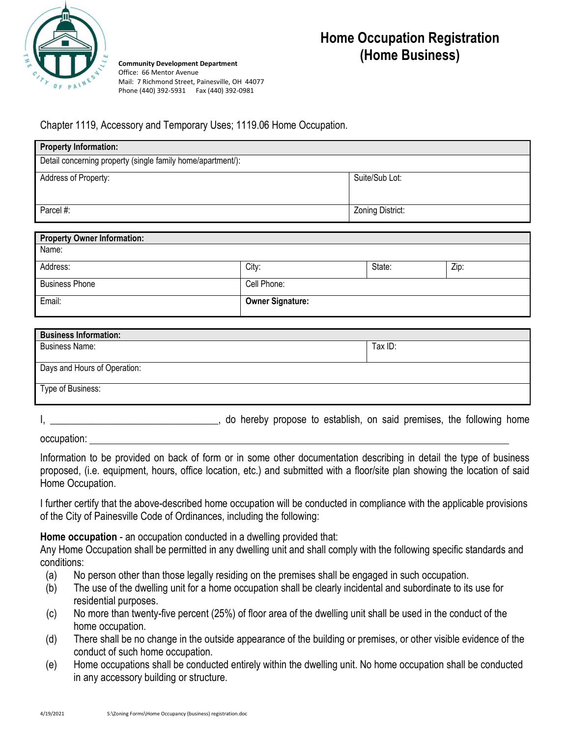

**Home Occupation Registration (Home Business)**

**Community Development Department** Office: 66 Mentor Avenue Mail: 7 Richmond Street, Painesville, OH 44077 Phone (440) 392-5931 Fax (440) 392-0981

## Chapter 1119, Accessory and Temporary Uses; 1119.06 Home Occupation.

| <b>Property Information:</b>                                |                         |  |                  |  |      |  |
|-------------------------------------------------------------|-------------------------|--|------------------|--|------|--|
| Detail concerning property (single family home/apartment/): |                         |  |                  |  |      |  |
| Address of Property:                                        |                         |  | Suite/Sub Lot:   |  |      |  |
| Parcel #:                                                   |                         |  | Zoning District: |  |      |  |
| <b>Property Owner Information:</b>                          |                         |  |                  |  |      |  |
| Name:                                                       |                         |  |                  |  |      |  |
| Address:                                                    | City:                   |  | State:           |  | Zip: |  |
| <b>Business Phone</b>                                       | Cell Phone:             |  |                  |  |      |  |
| Email:                                                      | <b>Owner Signature:</b> |  |                  |  |      |  |

| <b>Business Information:</b> |         |
|------------------------------|---------|
| <b>Business Name:</b>        | Tax ID: |
|                              |         |
| Days and Hours of Operation: |         |
| Type of Business:            |         |

|  |  |  |  |  |  | do hereby propose to establish, on said premises, the following home |  |
|--|--|--|--|--|--|----------------------------------------------------------------------|--|
|--|--|--|--|--|--|----------------------------------------------------------------------|--|

occupation:

Information to be provided on back of form or in some other documentation describing in detail the type of business proposed, (i.e. equipment, hours, office location, etc.) and submitted with a floor/site plan showing the location of said Home Occupation.

I further certify that the above-described home occupation will be conducted in compliance with the applicable provisions of the City of Painesville Code of Ordinances, including the following:

**Home occupation** - an occupation conducted in a dwelling provided that:

Any Home Occupation shall be permitted in any dwelling unit and shall comply with the following specific standards and conditions:

- (a) No person other than those legally residing on the premises shall be engaged in such occupation.
- (b) The use of the dwelling unit for a home occupation shall be clearly incidental and subordinate to its use for residential purposes.
- (c) No more than twenty-five percent (25%) of floor area of the dwelling unit shall be used in the conduct of the home occupation.
- (d) There shall be no change in the outside appearance of the building or premises, or other visible evidence of the conduct of such home occupation.
- (e) Home occupations shall be conducted entirely within the dwelling unit. No home occupation shall be conducted in any accessory building or structure.